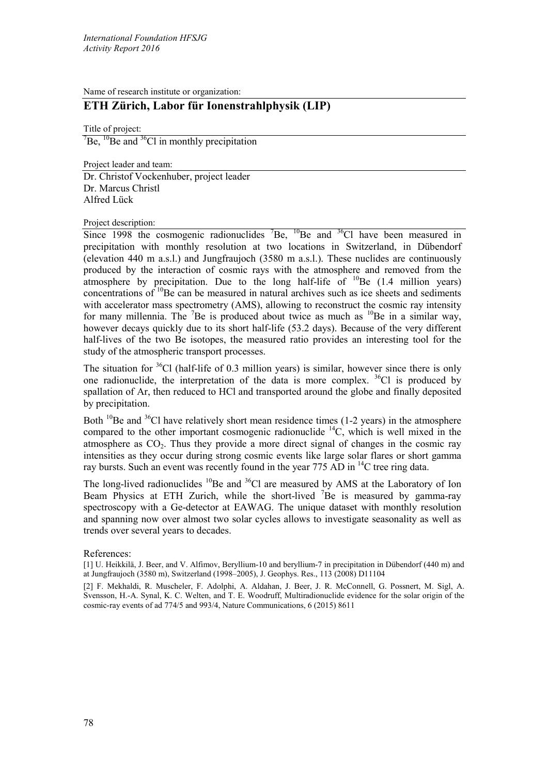Name of research institute or organization:

## **ETH Zürich, Labor für Ionenstrahlphysik (LIP)**

Title of project:  $\mathrm{^{7}Be}$ ,  $\mathrm{^{10}Be}$  and  $\mathrm{^{36}Cl}$  in monthly precipitation

Project leader and team: Dr. Christof Vockenhuber, project leader Dr. Marcus Christl Alfred Lück

Project description:

Since 1998 the cosmogenic radionuclides  ${}^{7}Be$ ,  ${}^{10}Be$  and  ${}^{36}Cl$  have been measured in precipitation with monthly resolution at two locations in Switzerland, in Dübendorf (elevation 440 m a.s.l.) and Jungfraujoch (3580 m a.s.l.). These nuclides are continuously produced by the interaction of cosmic rays with the atmosphere and removed from the atmosphere by precipitation. Due to the long half-life of  $^{10}$ Be (1.4 million years) concentrations of  $^{10}$ Be can be measured in natural archives such as ice sheets and sediments with accelerator mass spectrometry (AMS), allowing to reconstruct the cosmic ray intensity for many millennia. The  ${}^{7}Be$  is produced about twice as much as  ${}^{10}Be$  in a similar way, however decays quickly due to its short half-life (53.2 days). Because of the very different half-lives of the two Be isotopes, the measured ratio provides an interesting tool for the study of the atmospheric transport processes.

The situation for  ${}^{36}$ Cl (half-life of 0.3 million years) is similar, however since there is only one radionuclide, the interpretation of the data is more complex.  $36\text{Cl}$  is produced by spallation of Ar, then reduced to HCl and transported around the globe and finally deposited by precipitation.

Both  $^{10}$ Be and  $^{36}$ Cl have relatively short mean residence times (1-2 years) in the atmosphere compared to the other important cosmogenic radionuclide  ${}^{14}C$ , which is well mixed in the atmosphere as  $CO<sub>2</sub>$ . Thus they provide a more direct signal of changes in the cosmic ray intensities as they occur during strong cosmic events like large solar flares or short gamma ray bursts. Such an event was recently found in the year 775 AD in <sup>14</sup>C tree ring data.

The long-lived radionuclides  $^{10}$ Be and  $^{36}$ Cl are measured by AMS at the Laboratory of Ion Beam Physics at ETH Zurich, while the short-lived  ${}^{7}$ Be is measured by gamma-ray spectroscopy with a Ge-detector at EAWAG. The unique dataset with monthly resolution and spanning now over almost two solar cycles allows to investigate seasonality as well as trends over several years to decades.

References:

[2] F. Mekhaldi, R. Muscheler, F. Adolphi, A. Aldahan, J. Beer, J. R. McConnell, G. Possnert, M. Sigl, A. Svensson, H.-A. Synal, K. C. Welten, and T. E. Woodruff, Multiradionuclide evidence for the solar origin of the cosmic-ray events of ad 774/5 and 993/4, Nature Communications, 6 (2015) 8611

<sup>[1]</sup> U. Heikkilä, J. Beer, and V. Alfimov, Beryllium-10 and beryllium-7 in precipitation in Dübendorf (440 m) and at Jungfraujoch (3580 m), Switzerland (1998–2005), J. Geophys. Res., 113 (2008) D11104